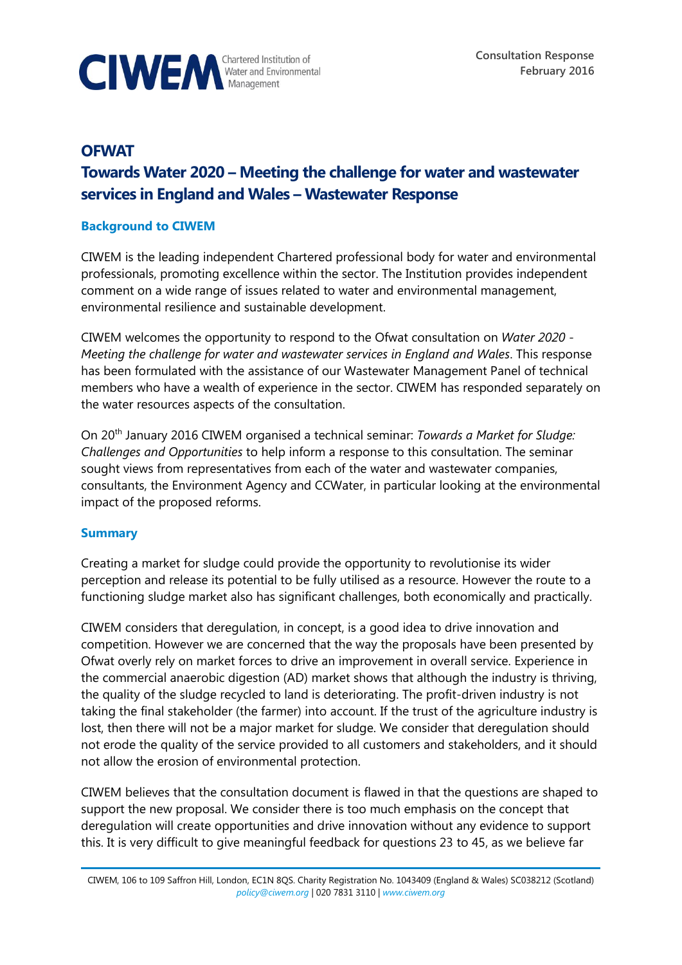

# **OFWAT Towards Water 2020 – Meeting the challenge for water and wastewater services in England and Wales – Wastewater Response**

### **Background to CIWEM**

CIWEM is the leading independent Chartered professional body for water and environmental professionals, promoting excellence within the sector. The Institution provides independent comment on a wide range of issues related to water and environmental management, environmental resilience and sustainable development.

CIWEM welcomes the opportunity to respond to the Ofwat consultation on *Water 2020 - Meeting the challenge for water and wastewater services in England and Wales*. This response has been formulated with the assistance of our Wastewater Management Panel of technical members who have a wealth of experience in the sector. CIWEM has responded separately on the water resources aspects of the consultation.

On 20th January 2016 CIWEM organised a technical seminar: *Towards a Market for Sludge: Challenges and Opportunities* to help inform a response to this consultation. The seminar sought views from representatives from each of the water and wastewater companies, consultants, the Environment Agency and CCWater, in particular looking at the environmental impact of the proposed reforms.

#### **Summary**

Creating a market for sludge could provide the opportunity to revolutionise its wider perception and release its potential to be fully utilised as a resource. However the route to a functioning sludge market also has significant challenges, both economically and practically.

CIWEM considers that deregulation, in concept, is a good idea to drive innovation and competition. However we are concerned that the way the proposals have been presented by Ofwat overly rely on market forces to drive an improvement in overall service. Experience in the commercial anaerobic digestion (AD) market shows that although the industry is thriving, the quality of the sludge recycled to land is deteriorating. The profit-driven industry is not taking the final stakeholder (the farmer) into account. If the trust of the agriculture industry is lost, then there will not be a major market for sludge. We consider that deregulation should not erode the quality of the service provided to all customers and stakeholders, and it should not allow the erosion of environmental protection.

CIWEM believes that the consultation document is flawed in that the questions are shaped to support the new proposal. We consider there is too much emphasis on the concept that deregulation will create opportunities and drive innovation without any evidence to support this. It is very difficult to give meaningful feedback for questions 23 to 45, as we believe far

CIWEM, 106 to 109 Saffron Hill, London, EC1N 8QS. Charity Registration No. 1043409 (England & Wales) SC038212 (Scotland) *[policy@ciwem.org](mailto:policy@ciwem.org)* | 020 7831 3110 | *[www.ciwem.org](http://www.ciwem.org/)*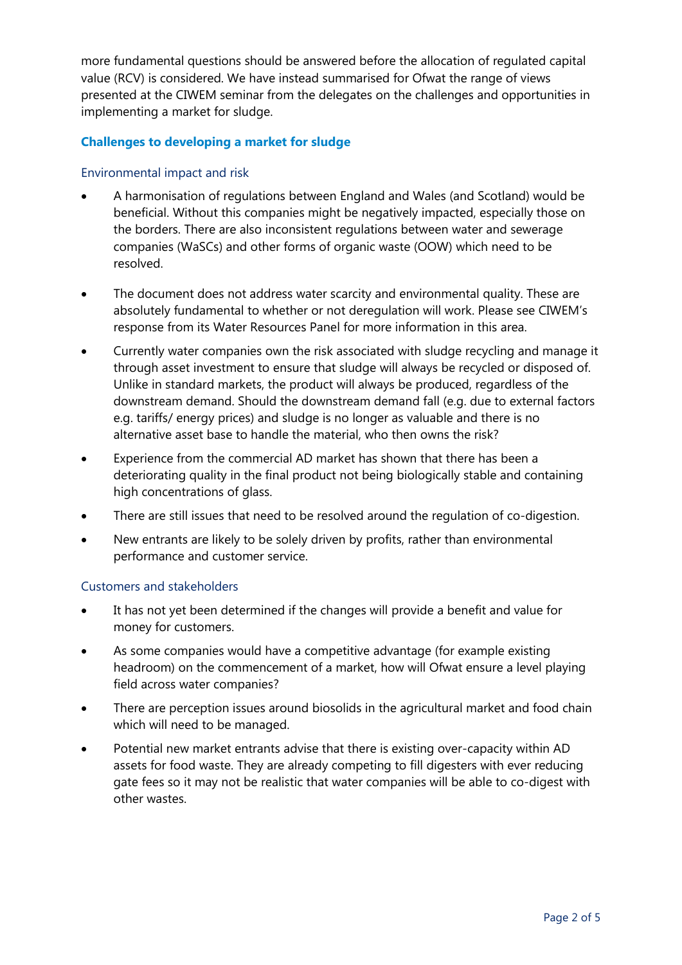more fundamental questions should be answered before the allocation of regulated capital value (RCV) is considered. We have instead summarised for Ofwat the range of views presented at the CIWEM seminar from the delegates on the challenges and opportunities in implementing a market for sludge.

# **Challenges to developing a market for sludge**

### Environmental impact and risk

- A harmonisation of regulations between England and Wales (and Scotland) would be beneficial. Without this companies might be negatively impacted, especially those on the borders. There are also inconsistent regulations between water and sewerage companies (WaSCs) and other forms of organic waste (OOW) which need to be resolved.
- The document does not address water scarcity and environmental quality. These are absolutely fundamental to whether or not deregulation will work. Please see CIWEM's response from its Water Resources Panel for more information in this area.
- Currently water companies own the risk associated with sludge recycling and manage it through asset investment to ensure that sludge will always be recycled or disposed of. Unlike in standard markets, the product will always be produced, regardless of the downstream demand. Should the downstream demand fall (e.g. due to external factors e.g. tariffs/ energy prices) and sludge is no longer as valuable and there is no alternative asset base to handle the material, who then owns the risk?
- Experience from the commercial AD market has shown that there has been a deteriorating quality in the final product not being biologically stable and containing high concentrations of glass.
- There are still issues that need to be resolved around the regulation of co-digestion.
- New entrants are likely to be solely driven by profits, rather than environmental performance and customer service.

# Customers and stakeholders

- It has not yet been determined if the changes will provide a benefit and value for money for customers.
- As some companies would have a competitive advantage (for example existing headroom) on the commencement of a market, how will Ofwat ensure a level playing field across water companies?
- There are perception issues around biosolids in the agricultural market and food chain which will need to be managed.
- Potential new market entrants advise that there is existing over-capacity within AD assets for food waste. They are already competing to fill digesters with ever reducing gate fees so it may not be realistic that water companies will be able to co-digest with other wastes.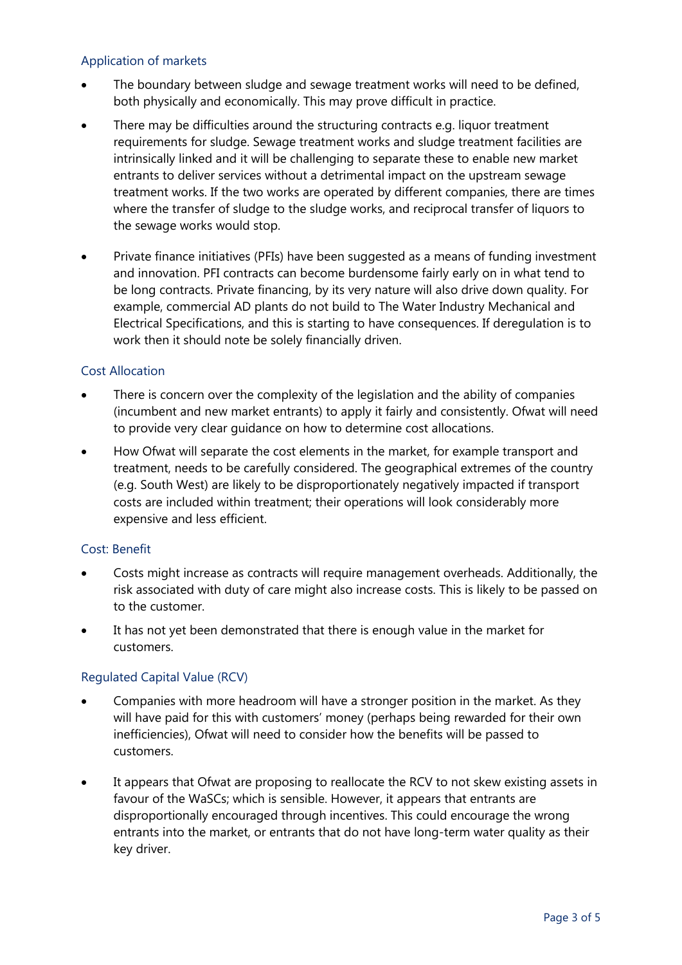# Application of markets

- The boundary between sludge and sewage treatment works will need to be defined, both physically and economically. This may prove difficult in practice.
- There may be difficulties around the structuring contracts e.g. liquor treatment requirements for sludge. Sewage treatment works and sludge treatment facilities are intrinsically linked and it will be challenging to separate these to enable new market entrants to deliver services without a detrimental impact on the upstream sewage treatment works. If the two works are operated by different companies, there are times where the transfer of sludge to the sludge works, and reciprocal transfer of liquors to the sewage works would stop.
- Private finance initiatives (PFIs) have been suggested as a means of funding investment and innovation. PFI contracts can become burdensome fairly early on in what tend to be long contracts. Private financing, by its very nature will also drive down quality. For example, commercial AD plants do not build to The Water Industry Mechanical and Electrical Specifications, and this is starting to have consequences. If deregulation is to work then it should note be solely financially driven.

# Cost Allocation

- There is concern over the complexity of the legislation and the ability of companies (incumbent and new market entrants) to apply it fairly and consistently. Ofwat will need to provide very clear guidance on how to determine cost allocations.
- How Ofwat will separate the cost elements in the market, for example transport and treatment, needs to be carefully considered. The geographical extremes of the country (e.g. South West) are likely to be disproportionately negatively impacted if transport costs are included within treatment; their operations will look considerably more expensive and less efficient.

# Cost: Benefit

- Costs might increase as contracts will require management overheads. Additionally, the risk associated with duty of care might also increase costs. This is likely to be passed on to the customer.
- It has not yet been demonstrated that there is enough value in the market for customers.

# Regulated Capital Value (RCV)

- Companies with more headroom will have a stronger position in the market. As they will have paid for this with customers' money (perhaps being rewarded for their own inefficiencies), Ofwat will need to consider how the benefits will be passed to customers.
- It appears that Ofwat are proposing to reallocate the RCV to not skew existing assets in favour of the WaSCs; which is sensible. However, it appears that entrants are disproportionally encouraged through incentives. This could encourage the wrong entrants into the market, or entrants that do not have long-term water quality as their key driver.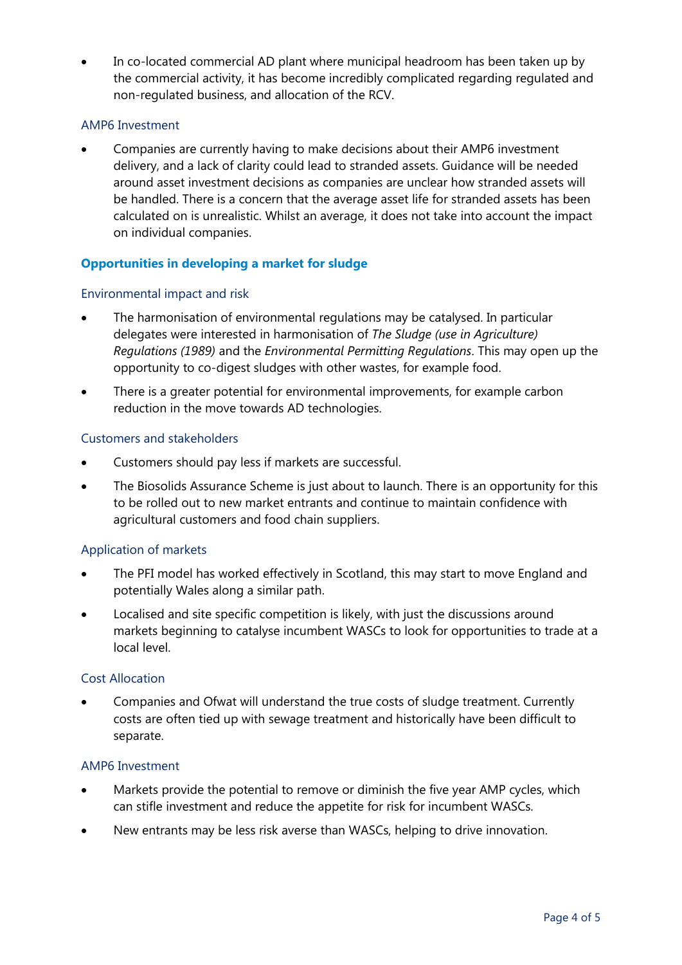In co-located commercial AD plant where municipal headroom has been taken up by the commercial activity, it has become incredibly complicated regarding regulated and non-regulated business, and allocation of the RCV.

### AMP6 Investment

 Companies are currently having to make decisions about their AMP6 investment delivery, and a lack of clarity could lead to stranded assets. Guidance will be needed around asset investment decisions as companies are unclear how stranded assets will be handled. There is a concern that the average asset life for stranded assets has been calculated on is unrealistic. Whilst an average, it does not take into account the impact on individual companies.

# **Opportunities in developing a market for sludge**

#### Environmental impact and risk

- The harmonisation of environmental regulations may be catalysed. In particular delegates were interested in harmonisation of *The Sludge (use in Agriculture) Regulations (1989)* and the *Environmental Permitting Regulations*. This may open up the opportunity to co-digest sludges with other wastes, for example food.
- There is a greater potential for environmental improvements, for example carbon reduction in the move towards AD technologies.

#### Customers and stakeholders

- Customers should pay less if markets are successful.
- The Biosolids Assurance Scheme is just about to launch. There is an opportunity for this to be rolled out to new market entrants and continue to maintain confidence with agricultural customers and food chain suppliers.

# Application of markets

- The PFI model has worked effectively in Scotland, this may start to move England and potentially Wales along a similar path.
- Localised and site specific competition is likely, with just the discussions around markets beginning to catalyse incumbent WASCs to look for opportunities to trade at a local level.

#### Cost Allocation

 Companies and Ofwat will understand the true costs of sludge treatment. Currently costs are often tied up with sewage treatment and historically have been difficult to separate.

#### AMP6 Investment

- Markets provide the potential to remove or diminish the five year AMP cycles, which can stifle investment and reduce the appetite for risk for incumbent WASCs.
- New entrants may be less risk averse than WASCs, helping to drive innovation.